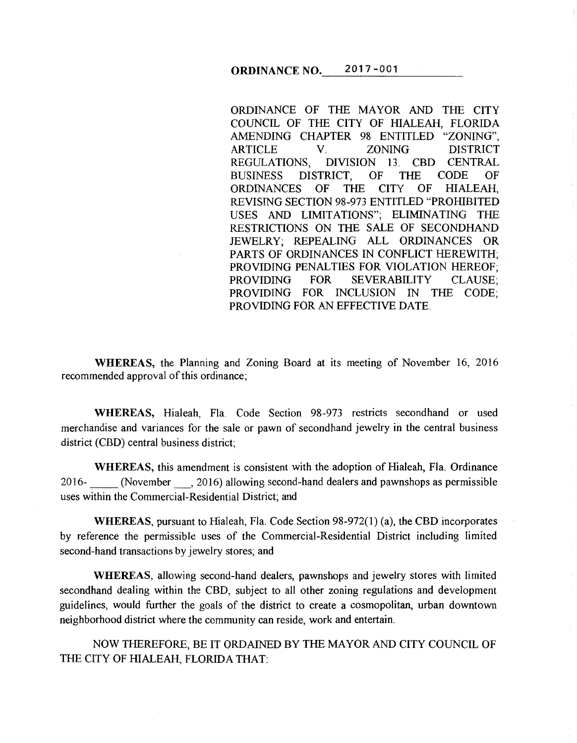ORDINANCE OF THE MAYOR AND THE CITY COUNCIL OF THE CITY OF HIALEAH, FLORIDA AMENDING CHAPTER 98 ENTITLED "ZONING", ARTICLE V. ZONING DISTRICT REGULATIONS, DIVISION 13. CBD CENTRAL BUSINESS DISTRICT, OF THE CODE OF<br>ORDINANCES OF THE CITY OF HIALEAH. ORDINANCES OF THE CITY OF HIALEAH, REVISING SECTION 98-973 ENTITLED "PROHIBITED USES AND LIMITATIONS"; ELIMINATING THE RESTRICTIONS ON THE SALE OF SECONDHAND JEWELRY; REPEALING ALL ORDINANCES OR PARTS OF ORDINANCES IN CONFLICT HEREWITH; PROVIDING PENALTIES FOR VIOLATION HEREOF; PROVIDING FOR SEVERABILITY CLAUSE; PROVIDING FOR INCLUSION IN THE CODE; PROVIDING FOR AN EFFECTIVE DATE.

WHEREAS, the Planning and Zoning Board at its meeting of November 16, 2016 recommended approval of this ordinance;

WHEREAS, Hialeah, Fla. Code Section 98-973 restricts secondhand or used merchandise and variances for the sale or pawn of secondhand jewelry in the central business district (CBD) central business district;

WHEREAS, this amendment is consistent with the adoption of Hialeah, Fla. Ordinance 2016- \_\_ (November\_, 2016) allowing second-hand dealers and pawnshops as permissible uses within the Commercial-Residential District; and

WHEREAS, pursuant to Hialeah, Fla. Code Section 98-972(1) (a), the CBD incorporates by reference the permissible uses of the Commercial-Residential District including limited second-hand transactions by jewelry stores; and

WHEREAS, allowing second-hand dealers, pawnshops and jewelry stores with limited secondhand dealing within the CBD, subject to all other zoning regulations and development guidelines, would further the goals of the district to create a cosmopolitan, urban downtown neighborhood district where the community can reside, work and entertain.

NOW THEREFORE, BE IT ORDAINED BY THE MAYOR AND CITY COUNCIL OF THE CITY OF HIALEAH, FLORIDA THAT: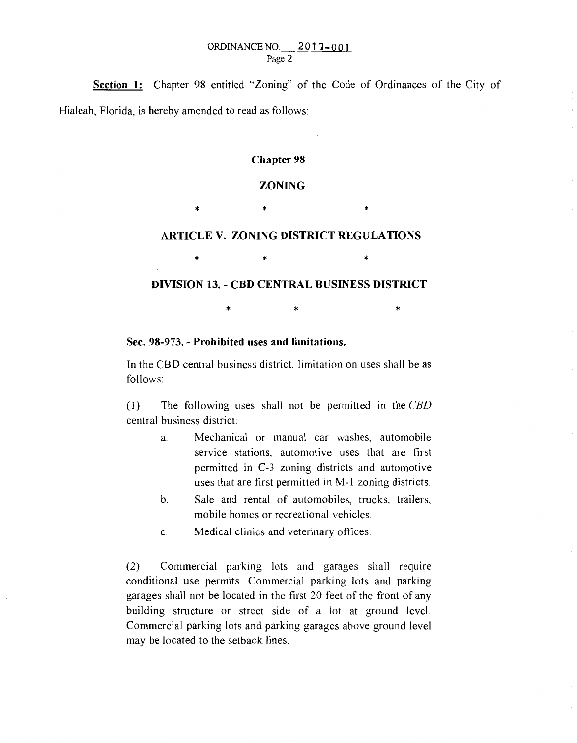Section 1: Chapter 98 entitled "Zoning" of the Code of Ordinances of the City of Hialeah, Florida, is hereby amended to read as follows:

### Chapter 98

### ZONING

\* \* \* \* \*

## ARTICLE V. ZONING DISTRICT REGULATIONS

## DIVISION 13. - CBD CENTRAL BUSINESS DISTRICT

 $\star$   $\star$   $\star$ 

\* \* \* \* \*

# Sec. 98-973. - Prohibited uses and limitations.

In the CBD central business district, limitation on uses shall be as follows:

(1) The following uses shall not be permitted in the *CBD* central business district:

- a. Mechanical or manual car washes, automobile service stations, automotive uses that are first permitted in C-3 zoning districts and automotive uses that are first permitted in M-1 zoning districts.
- b. Sale and rental of automobiles, trucks, trailers, mobile homes or recreational vehicles.
- c. Medical clinics and veterinary oftices.

(2) Commercial parking lots and garages shall require conditional use permits. Commercial parking lots and parking garages shall not be located in the first 20 feet of the front of any building structure or street side of a lot at ground level. Commercial parking lots and parking garages above ground level may be located to the setback lines.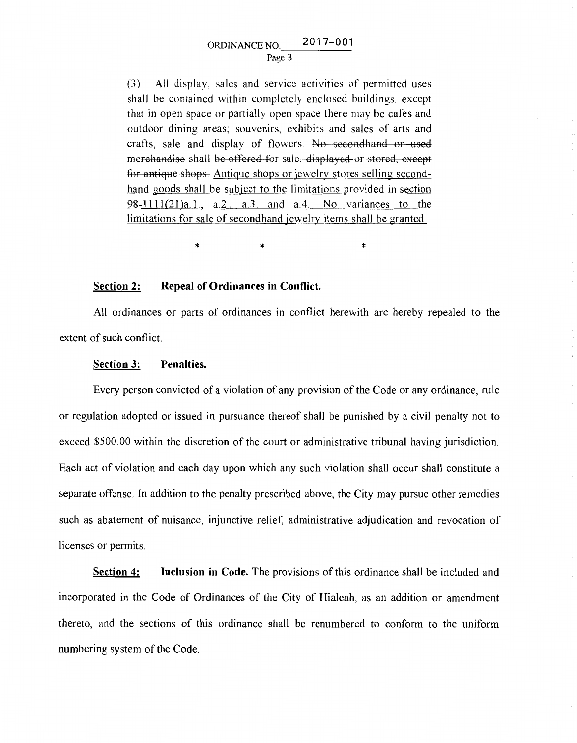### Page 3

(3) All display, sales and service activities of permitted uses shall be contained within completely enclosed buildings, except that in open space or partially open space there may be cafes and outdoor dining areas; souvenirs, exhibits and sales of arts and crafts, sale and display of flowers. No secondhand or used merchandise shall be offered for sale, displayed or stored, except tor antique shops Antique shops or jewelrv stores selling secondhand goods shall be subject to the limitations provided in section 98-1111(2l)a.I., a.2., a.3. and a.4. No variances to the limitations for sale of secondhand jewelry items shall be granted.

\* \* \*

## **Section 2: Repeal of Ordinances in Conflict.**

All ordinances or parts of ordinances in conflict herewith are hereby repealed to the extent of such conflict.

## **Section 3: Penalties.**

Every person convicted of a violation of any provision of the Code or any ordinance, rule or regulation adopted or issued in pursuance thereof shall be punished by a civil penalty not to exceed \$500.00 within the discretion of the court or administrative tribunal having jurisdiction. Each act of violation and each day upon which any such violation shall occur shall constitute a separate offense. In addition to the penalty prescribed above, the City may pursue other remedies such as abatement of nuisance, injunctive relief, administrative adjudication and revocation of licenses or permits.

**Section 4: Inclusion in Code.** The provisions of this ordinance shall be included and incorporated in the Code of Ordinances of the City of Hialeah, as an addition or amendment thereto, and the sections of this ordinance shall be renumbered to conform to the uniform numbering system of the Code.